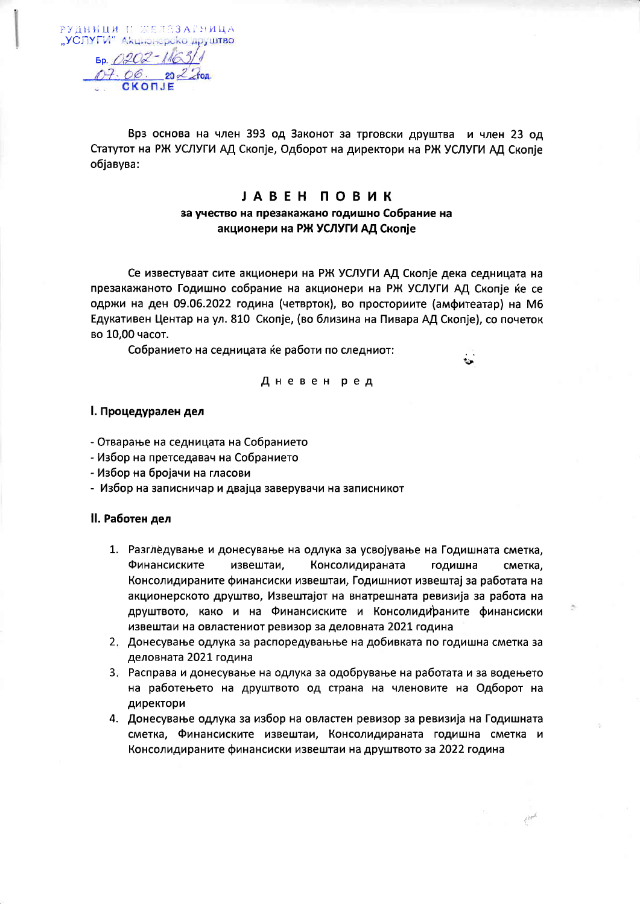РУДНИЦИ И ЖЕЛЕЗАГНИЦА "УСЛУГИ" Акционерско друштво  $60.0202 - 110$  $07.06$ 

Врз основа на член 393 од Законот за трговски друштва и член 23 од Статутот на РЖ УСЛУГИ АД Скопје, Одборот на директори на РЖ УСЛУГИ АД Скопје обіавува:

## **JABEH ПОВИК** за учество на презакажано годишно Собрание на акционери на РЖ УСЛУГИ АД Скопје

Се известуваат сите акционери на РЖ УСЛУГИ АД Скопје дека седницата на презакажаното Годишно собрание на акционери на РЖ УСЛУГИ АД Скопіе ќе се одржи на ден 09.06.2022 година (четврток), во просториите (амфитеатар) на М6 Едукативен Центар на ул. 810 Скопје, (во близина на Пивара АД Скопје), со почеток во 10,00 часот.

Собранието на седницата ќе работи по следниот:

## Дневен ред

## I. Процедурален дел

- Отварање на седницата на Собранието
- Избор на претседавач на Собранието
- Избор на бројачи на гласови
- Избор на записничар и двајца заверувачи на записникот

## II. Работен дел

- 1. Разгледување и донесување на одлука за усвојување на Годишната сметка, Финансиските извештаи, Консолидираната годишна сметка, Консолидираните финансиски извештаи, Годишниот извештај за работата на акционерското друштво, Извештајот на внатрешната ревизија за работа на друштвото, како и на Финансиските и Консолидираните финансиски извештаи на овластениот ревизор за деловната 2021 година
- 2. Донесување одлука за распоредувањње на добивката по годишна сметка за деловната 2021 година
- 3. Расправа и донесување на одлука за одобрување на работата и за водењето на работењето на друштвото од страна на членовите на Одборот на директори
- 4. Донесување одлука за избор на овластен ревизор за ревизија на Годишната сметка, Финансиските извештаи, Консолидираната годишна сметка и Консолидираните финансиски извештаи на друштвото за 2022 година